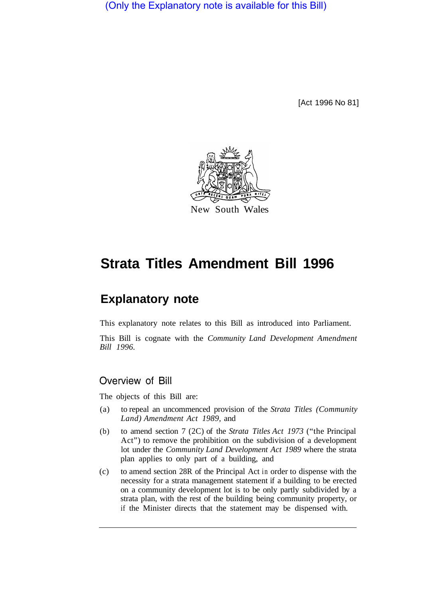(Only the Explanatory note is available for this Bill)

[Act 1996 No 81]



# **Strata Titles Amendment Bill 1996**

## **Explanatory note**

This explanatory note relates to this Bill as introduced into Parliament.

This Bill is cognate with the *Community Land Development Amendment Bill 1996.* 

#### Overview of Bill

The objects of this Bill are:

- (a) to repeal an uncommenced provision of the *Strata Titles (Community Land) Amendment Act 1989,* and
- (b) to amend section 7 (2C) of the *Strata Titles Act 1973* ("the Principal Act") to remove the prohibition on the subdivision of a development lot under the *Community Land Development Act 1989* where the strata plan applies to only part of a building, and
- (c) to amend section 28R of the Principal Act in order to dispense with the necessity for a strata management statement if a building to be erected on a community development lot is to be only partly subdivided by a strata plan, with the rest of the building being community property, or if the Minister directs that the statement may be dispensed with.